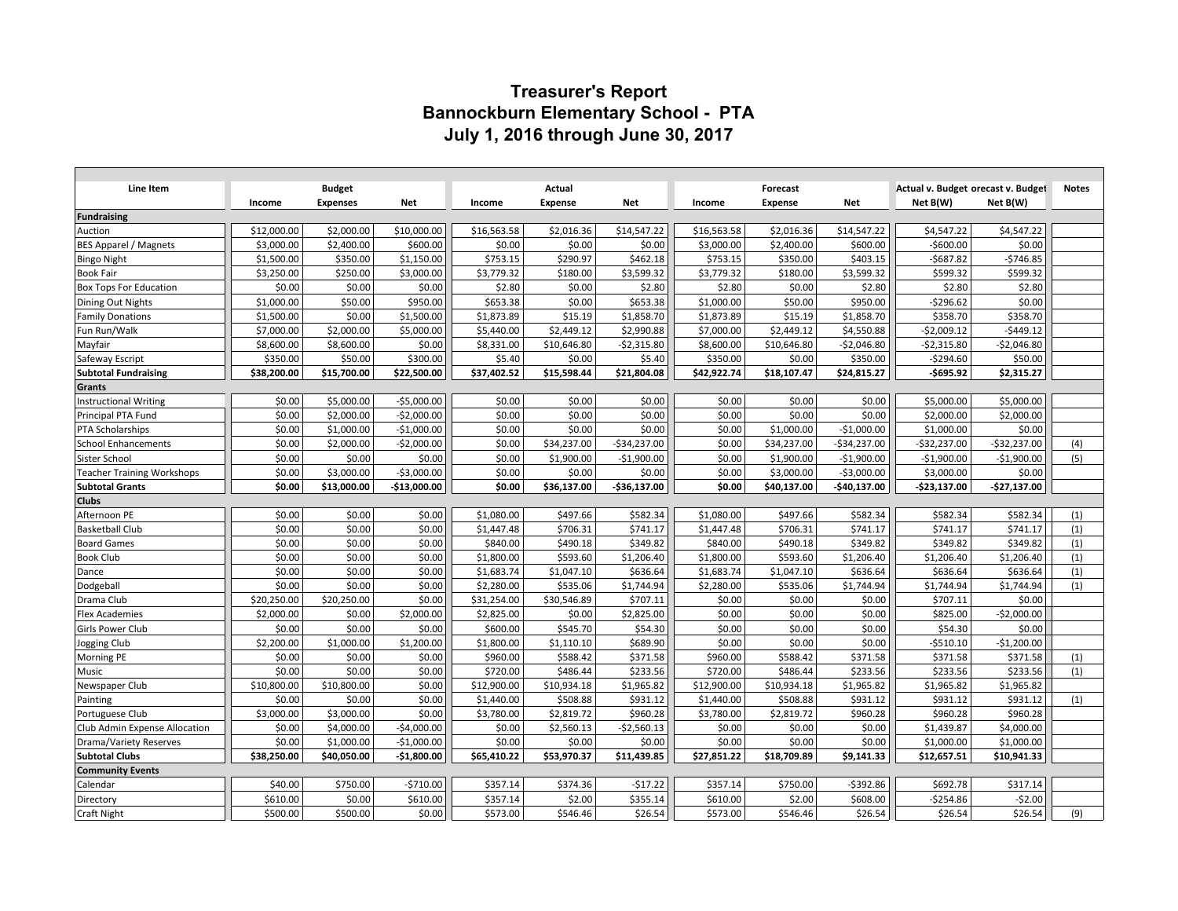# **Treasurer's Report Bannockburn Elementary School - PTA July 1, 2016 through June 30, 2017**

| Line Item                            |                          | <b>Budget</b>          |                        |                    | Actual             |                    |                        | Forecast               |                      | Actual v. Budget orecast v. Budget |                      | <b>Notes</b> |
|--------------------------------------|--------------------------|------------------------|------------------------|--------------------|--------------------|--------------------|------------------------|------------------------|----------------------|------------------------------------|----------------------|--------------|
|                                      | Income                   | <b>Expenses</b>        | Net                    | Income             | <b>Expense</b>     | Net                | Income                 | Expense                | <b>Net</b>           | Net B(W)                           | Net B(W)             |              |
| <b>Fundraising</b>                   |                          | \$2,000.00             |                        |                    |                    |                    |                        |                        |                      |                                    |                      |              |
| Auction                              | \$12,000.00              |                        | \$10,000.00            | \$16,563.58        | \$2,016.36         | \$14,547.22        | \$16,563.58            | \$2,016.36             | \$14,547.22          | \$4,547.22                         | \$4,547.22<br>\$0.00 |              |
| BES Apparel / Magnets                | \$3,000.00<br>\$1,500.00 | \$2,400.00<br>\$350.00 | \$600.00<br>\$1,150.00 | \$0.00<br>\$753.15 | \$0.00<br>\$290.97 | \$0.00<br>\$462.18 | \$3,000.00<br>\$753.15 | \$2,400.00<br>\$350.00 | \$600.00<br>\$403.15 | $-$600.00$<br>$-5687.82$           | $-5746.85$           |              |
| Bingo Night<br><b>Book Fair</b>      | \$3,250.00               | \$250.00               | \$3,000.00             | \$3,779.32         | \$180.00           | \$3,599.32         | \$3,779.32             | \$180.00               | \$3,599.32           | \$599.32                           | \$599.32             |              |
| <b>Box Tops For Education</b>        | \$0.00                   | \$0.00                 | \$0.00                 | \$2.80             | \$0.00             | \$2.80             | \$2.80                 | \$0.00                 | \$2.80               | \$2.80                             | \$2.80               |              |
| Dining Out Nights                    | \$1,000.00               | \$50.00                | \$950.00               | \$653.38           | \$0.00             | \$653.38           | \$1,000.00             | \$50.00                | \$950.00             | $-5296.62$                         | \$0.00               |              |
| <b>Family Donations</b>              | \$1,500.00               | \$0.00                 | \$1,500.00             | \$1,873.89         | \$15.19            | \$1,858.70         | \$1,873.89             | \$15.19                | \$1,858.70           | \$358.70                           | \$358.70             |              |
| Fun Run/Walk                         | \$7,000.00               | \$2,000.00             | \$5,000.00             | \$5,440.00         | \$2,449.12         | \$2,990.88         | \$7,000.00             | \$2,449.12             | \$4,550.88           | $-$2,009.12$                       | $-5449.12$           |              |
| Mayfair                              | \$8,600.00               | \$8,600.00             | \$0.00                 | \$8,331.00         | \$10,646.80        | $-$2,315.80$       | \$8,600.00             | \$10,646.80            | $-$2,046.80$         | $-$2,315.80$                       | $-$2,046.80$         |              |
| Safeway Escript                      | \$350.00                 | \$50.00                | \$300.00               | \$5.40             | \$0.00             | \$5.40             | \$350.00               | \$0.00                 | \$350.00             | $-$294.60$                         | \$50.00              |              |
| <b>Subtotal Fundraising</b>          | \$38,200.00              | \$15,700.00            | \$22,500.00            | \$37,402.52        | \$15,598.44        | \$21,804.08        | \$42,922.74            | \$18,107.47            | \$24,815.27          | $-5695.92$                         | \$2,315.27           |              |
| Grants                               |                          |                        |                        |                    |                    |                    |                        |                        |                      |                                    |                      |              |
| <b>Instructional Writing</b>         | \$0.00                   | \$5,000.00             | $-$5,000.00$           | \$0.00             | \$0.00             | \$0.00             | \$0.00                 | \$0.00                 | \$0.00               | \$5,000.00                         | \$5,000.00           |              |
| Principal PTA Fund                   | \$0.00                   | \$2,000.00             | $-$2,000.00$           | \$0.00             | \$0.00             | \$0.00             | \$0.00                 | \$0.00                 | \$0.00               | \$2,000.00                         | \$2,000.00           |              |
| <b>PTA Scholarships</b>              | \$0.00                   | \$1,000.00             | $-$1,000.00$           | \$0.00             | \$0.00             | \$0.00             | \$0.00                 | \$1,000.00             | $-$1,000.00$         | \$1,000.00                         | \$0.00               |              |
| <b>School Enhancements</b>           | \$0.00                   | \$2,000.00             | $-$2,000.00$           | \$0.00             | \$34,237.00        | $-$34,237.00$      | \$0.00                 | \$34,237.00            | $-$34,237.00$        | $-$32,237.00$                      | $-$32,237.00$        | (4)          |
| Sister School                        | \$0.00                   | \$0.00                 | \$0.00                 | \$0.00             | \$1,900.00         | $-$1,900.00$       | \$0.00                 | \$1,900.00             | $-$1,900.00$         | $-$1,900.00$                       | $-$1,900.00$         | (5)          |
| <b>Teacher Training Workshops</b>    | \$0.00                   | \$3,000.00             | $-$3,000.00$           | \$0.00             | \$0.00             | \$0.00             | \$0.00                 | \$3,000.00             | $-$3,000.00$         | \$3,000.00                         | \$0.00               |              |
| <b>Subtotal Grants</b>               | \$0.00                   | \$13,000.00            | $-$13,000.00$          | \$0.00             | \$36,137.00        | $-$36,137.00$      | \$0.00                 | \$40,137.00            | -\$40,137.00         | -\$23,137.00                       | $-$27,137.00$        |              |
| <b>Clubs</b>                         |                          |                        |                        |                    |                    |                    |                        |                        |                      |                                    |                      |              |
| Afternoon PE                         | \$0.00                   | \$0.00                 | \$0.00                 | \$1,080.00         | \$497.66           | \$582.34           | \$1,080.00             | \$497.66               | \$582.34             | \$582.34                           | \$582.34             | (1)          |
| <b>Basketball Club</b>               | \$0.00                   | \$0.00                 | \$0.00                 | \$1,447.48         | \$706.31           | \$741.17           | \$1,447.48             | \$706.31               | \$741.17             | \$741.17                           | \$741.17             | (1)          |
| <b>Board Games</b>                   | \$0.00                   | \$0.00                 | \$0.00                 | \$840.00           | \$490.18           | \$349.82           | \$840.00               | \$490.18               | \$349.82             | \$349.82                           | \$349.82             | (1)          |
| <b>Book Club</b>                     | \$0.00                   | \$0.00                 | \$0.00                 | \$1,800.00         | \$593.60           | \$1,206.40         | \$1,800.00             | \$593.60               | \$1,206.40           | \$1,206.40                         | \$1,206.40           | (1)          |
| Dance                                | \$0.00                   | \$0.00                 | \$0.00                 | \$1,683.74         | \$1,047.10         | \$636.64           | \$1,683.74             | \$1,047.10             | \$636.64             | \$636.64                           | \$636.64             | (1)          |
| Dodgeball                            | \$0.00                   | \$0.00                 | \$0.00                 | \$2,280.00         | \$535.06           | \$1,744.94         | \$2,280.00             | \$535.06               | \$1,744.94           | \$1,744.94                         | \$1,744.94           | (1)          |
| Drama Club                           | \$20,250.00              | \$20,250.00            | \$0.00                 | \$31,254.00        | \$30,546.89        | \$707.11           | \$0.00                 | \$0.00                 | \$0.00               | \$707.11                           | \$0.00               |              |
| <b>Flex Academies</b>                | \$2,000.00               | \$0.00                 | \$2,000.00             | \$2,825.00         | \$0.00             | \$2,825.00         | \$0.00                 | \$0.00                 | \$0.00               | \$825.00                           | $-$2,000.00$         |              |
| Girls Power Club                     | \$0.00                   | \$0.00                 | \$0.00                 | \$600.00           | \$545.70           | \$54.30            | \$0.00                 | \$0.00                 | \$0.00               | \$54.30                            | \$0.00               |              |
| Jogging Club                         | \$2,200.00               | \$1,000.00             | \$1,200.00             | \$1,800.00         | \$1,110.10         | \$689.90           | \$0.00                 | \$0.00                 | \$0.00               | $-5510.10$                         | $-$1,200.00$         |              |
| Morning PE                           | \$0.00                   | \$0.00                 | \$0.00                 | \$960.00           | \$588.42           | \$371.58           | \$960.00               | \$588.42               | \$371.58             | \$371.58                           | \$371.58             | (1)          |
| Music                                | \$0.00                   | \$0.00                 | \$0.00                 | \$720.00           | \$486.44           | \$233.56           | \$720.00               | \$486.44               | \$233.56             | \$233.56                           | \$233.56             | (1)          |
| Newspaper Club                       | \$10,800.00              | \$10,800.00            | \$0.00                 | \$12,900.00        | \$10,934.18        | \$1,965.82         | \$12,900.00            | \$10,934.18            | \$1,965.82           | \$1,965.82                         | \$1,965.82           |              |
| Painting                             | \$0.00                   | \$0.00                 | \$0.00                 | \$1,440.00         | \$508.88           | \$931.12           | \$1,440.00             | \$508.88               | \$931.12             | \$931.12                           | \$931.12             | (1)          |
| Portuguese Club                      | \$3,000.00               | \$3,000.00             | \$0.00                 | \$3,780.00         | \$2,819.72         | \$960.28           | \$3,780.00             | \$2,819.72             | \$960.28             | \$960.28                           | \$960.28             |              |
| <b>Club Admin Expense Allocation</b> | \$0.00                   | \$4,000.00             | $-$4,000.00$           | \$0.00             | \$2,560.13         | $-$2,560.13$       | \$0.00                 | \$0.00                 | \$0.00               | \$1,439.87                         | \$4,000.00           |              |
| Drama/Variety Reserves               | \$0.00                   | \$1,000.00             | $-$1,000.00$           | \$0.00             | \$0.00             | \$0.00             | \$0.00                 | \$0.00                 | \$0.00               | \$1,000.00                         | \$1,000.00           |              |
| <b>Subtotal Clubs</b>                | \$38,250.00              | \$40,050.00            | $-$1,800.00$           | \$65,410.22        | \$53,970.37        | \$11,439.85        | \$27,851.22            | \$18,709.89            | \$9,141.33           | \$12,657.51                        | \$10,941.33          |              |
| <b>Community Events</b>              |                          |                        |                        |                    |                    |                    |                        |                        |                      |                                    |                      |              |
| Calendar                             | \$40.00                  | \$750.00               | $-5710.00$             | \$357.14           | \$374.36           | $-517.22$          | \$357.14               | \$750.00               | $-5392.86$           | \$692.78                           | \$317.14             |              |
| Directory                            | \$610.00                 | \$0.00                 | \$610.00               | \$357.14           | \$2.00             | \$355.14           | \$610.00               | \$2.00                 | \$608.00             | $-$ \$254.86                       | $-52.00$             |              |
| Craft Night                          | \$500.00                 | \$500.00               | \$0.00                 | \$573.00           | \$546.46           | \$26.54            | \$573.00               | \$546.46               | \$26.54              | \$26.54                            | \$26.54              | (9)          |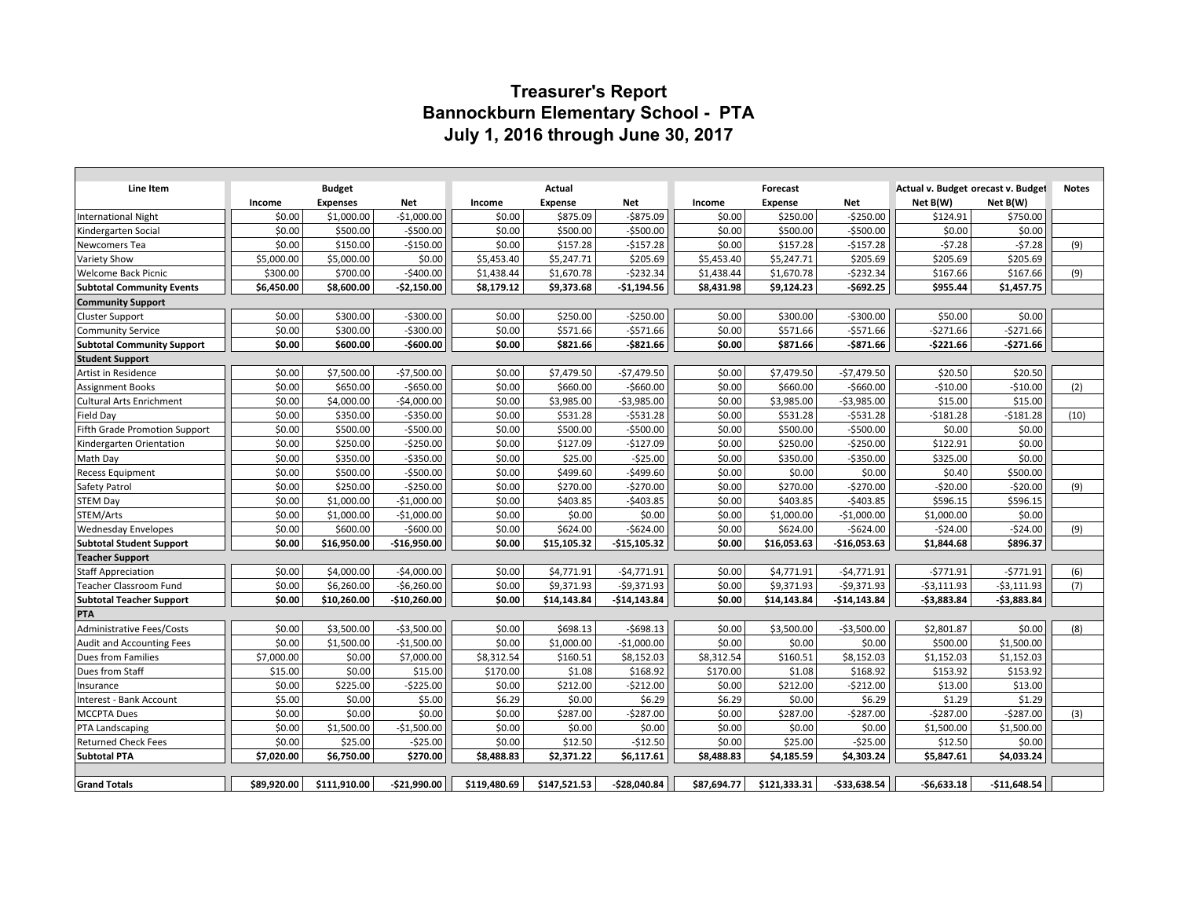# **Treasurer's Report Bannockburn Elementary School - PTA July 1, 2016 through June 30, 2017**

| Line Item                                               |                  |                               |               |                  | Actual                     |               |                  |                            |               |                                                |               | <b>Notes</b> |
|---------------------------------------------------------|------------------|-------------------------------|---------------|------------------|----------------------------|---------------|------------------|----------------------------|---------------|------------------------------------------------|---------------|--------------|
|                                                         |                  | <b>Budget</b>                 | Net           |                  |                            | Net           |                  | Forecast                   | Net           | Actual v. Budget orecast v. Budget<br>Net B(W) | Net B(W)      |              |
|                                                         | Income<br>\$0.00 | <b>Expenses</b><br>\$1,000.00 | $-$1,000.00$  | Income<br>\$0.00 | <b>Expense</b><br>\$875.09 | $-$ \$875.09  | Income<br>\$0.00 | <b>Expense</b><br>\$250.00 | $-5250.00$    | \$124.91                                       | \$750.00      |              |
| <b>International Night</b>                              | \$0.00           | \$500.00                      | $-$500.00$    | \$0.00           | \$500.00                   | $-$500.00$    | \$0.00           | \$500.00                   | $-$500.00$    | \$0.00                                         | \$0.00        |              |
| Kindergarten Social                                     | \$0.00           | \$150.00                      | $-$150.00$    | \$0.00           | \$157.28                   | $-$157.28$    | \$0.00           | \$157.28                   | $-$157.28$    | $-57.28$                                       | $-57.28$      | (9)          |
| Newcomers Tea                                           | \$5,000.00       | \$5,000.00                    | \$0.00        | \$5,453.40       | \$5,247.71                 | \$205.69      | \$5,453.40       | \$5,247.71                 | \$205.69      | \$205.69                                       | \$205.69      |              |
| <b>Variety Show</b>                                     | \$300.00         | \$700.00                      | $-$400.00$    | \$1,438.44       | \$1,670.78                 | $-5232.34$    | \$1,438.44       | \$1,670.78                 | $-$232.34$    | \$167.66                                       | \$167.66      | (9)          |
| Welcome Back Picnic<br><b>Subtotal Community Events</b> | \$6,450.00       | \$8,600.00                    | $-$2,150.00$  | \$8,179.12       | \$9,373.68                 | -\$1,194.56   | \$8,431.98       | \$9,124.23                 | $-5692.25$    | \$955.44                                       | \$1,457.75    |              |
| <b>Community Support</b>                                |                  |                               |               |                  |                            |               |                  |                            |               |                                                |               |              |
| <b>Cluster Support</b>                                  | \$0.00           | \$300.00                      | -\$300.00     | \$0.00           | \$250.00                   | $-$250.00$    | \$0.00           | \$300.00                   | $-$ \$300.00  | \$50.00                                        | \$0.00        |              |
| <b>Community Service</b>                                | \$0.00           | \$300.00                      | $-$300.00$    | \$0.00           | \$571.66                   | $-$571.66$    | \$0.00           | \$571.66                   | $-$ \$571.66  | $-5271.66$                                     | $-$271.66$    |              |
| <b>Subtotal Community Support</b>                       | \$0.00           | \$600.00                      | $-$600.00$    | \$0.00           | \$821.66                   | $-$ \$821.66  | \$0.00           | \$871.66                   | $-$871.66$    | $-5221.66$                                     | $-$271.66$    |              |
| <b>Student Support</b>                                  |                  |                               |               |                  |                            |               |                  |                            |               |                                                |               |              |
| Artist in Residence                                     | \$0.00           | \$7,500.00                    | $-$7,500.00$  | \$0.00           | \$7,479.50                 | $-$7,479.50$  | \$0.00           | \$7,479.50                 | $-$7,479.50$  | \$20.50                                        | \$20.50       |              |
| <b>Assignment Books</b>                                 | \$0.00           | \$650.00                      | $-$ \$650.00  | \$0.00           | \$660.00                   | $-$660.00$    | \$0.00           | \$660.00                   | $-$660.00$    | $-$10.00$                                      | $-$10.00$     | (2)          |
| <b>Cultural Arts Enrichment</b>                         | \$0.00           | \$4,000.00                    | $-$4,000.00$  | \$0.00           | \$3,985.00                 | $-53,985.00$  | \$0.00           | \$3,985.00                 | $-53,985.00$  | \$15.00                                        | \$15.00       |              |
| Field Day                                               | \$0.00           | \$350.00                      | $-$ \$350.00  | \$0.00           | \$531.28                   | $-$531.28$    | \$0.00           | \$531.28                   | $-5531.28$    | $-$181.28$                                     | $-5181.28$    | (10)         |
| <b>Fifth Grade Promotion Support</b>                    | \$0.00           | \$500.00                      | $-$500.00$    | \$0.00           | \$500.00                   | $-$500.00$    | \$0.00           | \$500.00                   | $-$500.00$    | \$0.00                                         | \$0.00        |              |
| Kindergarten Orientation                                | \$0.00           | \$250.00                      | $-$250.00$    | \$0.00           | \$127.09                   | $-$127.09$    | \$0.00           | \$250.00                   | $-$250.00$    | \$122.91                                       | \$0.00        |              |
| Math Day                                                | \$0.00           | \$350.00                      | $-$ \$350.00  | \$0.00           | \$25.00                    | $-$25.00$     | \$0.00           | \$350.00                   | $-$350.00$    | \$325.00                                       | \$0.00        |              |
| <b>Recess Equipment</b>                                 | \$0.00           | \$500.00                      | $-$500.00$    | \$0.00           | \$499.60                   | $-$ \$499.60  | \$0.00           | \$0.00                     | \$0.00        | \$0.40                                         | \$500.00      |              |
| Safety Patrol                                           | \$0.00           | \$250.00                      | $-$250.00$    | \$0.00           | \$270.00                   | $-$270.00$    | \$0.00           | \$270.00                   | $-$ \$270.00  | $-$20.00$                                      | $-520.00$     | (9)          |
| <b>STEM Day</b>                                         | \$0.00           | \$1,000.00                    | $-$1,000.00$  | \$0.00           | \$403.85                   | $-$403.85$    | \$0.00           | \$403.85                   | $-5403.85$    | \$596.15                                       | \$596.15      |              |
| STEM/Arts                                               | \$0.00           | \$1,000.00                    | $-$1,000.00$  | \$0.00           | \$0.00                     | \$0.00        | \$0.00           | \$1,000.00                 | $-$1,000.00$  | \$1,000.00                                     | \$0.00        |              |
| <b>Wednesday Envelopes</b>                              | \$0.00           | \$600.00                      | $-$600.00$    | \$0.00           | \$624.00                   | $-$624.00$    | \$0.00           | \$624.00                   | $-$624.00$    | $-524.00$                                      | $-524.00$     | (9)          |
| <b>Subtotal Student Support</b>                         | \$0.00           | \$16,950.00                   | $-$16,950.00$ | \$0.00           | \$15,105.32                | $-$15,105.32$ | \$0.00           | \$16,053.63                | $-$16,053.63$ | \$1,844.68                                     | \$896.37      |              |
| <b>Teacher Support</b>                                  |                  |                               |               |                  |                            |               |                  |                            |               |                                                |               |              |
| <b>Staff Appreciation</b>                               | \$0.00           | \$4,000.00                    | $-$4,000.00$  | \$0.00           | \$4,771.91                 | $-$4,771.91$  | \$0.00           | \$4,771.91                 | $-$4,771.91$  | $-5771.91$                                     | $-5771.91$    | (6)          |
| Teacher Classroom Fund                                  | \$0.00           | \$6,260.00                    | $-56,260.00$  | \$0.00           | \$9,371.93                 | $-$9,371.93$  | \$0.00           | \$9,371.93                 | $-59,371.93$  | $-$3,111.93$                                   | $-53,111.93$  | (7)          |
| <b>Subtotal Teacher Support</b>                         | \$0.00           | \$10,260.00                   | -\$10,260.00  | \$0.00           | \$14,143.84                | $-$14,143.84$ | \$0.00           | \$14,143.84                | -\$14,143.84  | $-53,883.84$                                   | -\$3,883.84   |              |
| PTA                                                     |                  |                               |               |                  |                            |               |                  |                            |               |                                                |               |              |
| <b>Administrative Fees/Costs</b>                        | \$0.00           | \$3,500.00                    | $-$3,500.00$  | \$0.00           | \$698.13                   | $-5698.13$    | \$0.00           | \$3,500.00                 | $-$3,500.00$  | \$2,801.87                                     | \$0.00        | (8)          |
| Audit and Accounting Fees                               | \$0.00           | \$1,500.00                    | $-$1,500.00$  | \$0.00           | \$1,000.00                 | $-$1,000.00$  | \$0.00           | \$0.00                     | \$0.00        | \$500.00                                       | \$1,500.00    |              |
| Dues from Families                                      | \$7,000.00       | \$0.00                        | \$7,000.00    | \$8,312.54       | \$160.51                   | \$8,152.03    | \$8,312.54       | \$160.51                   | \$8,152.03    | \$1,152.03                                     | \$1,152.03    |              |
| Dues from Staff                                         | \$15.00          | \$0.00                        | \$15.00       | \$170.00         | \$1.08                     | \$168.92      | \$170.00         | \$1.08                     | \$168.92      | \$153.92                                       | \$153.92      |              |
| Insurance                                               | \$0.00           | \$225.00                      | $-$225.00$    | \$0.00           | \$212.00                   | $-5212.00$    | \$0.00           | \$212.00                   | $-$ \$212.00  | \$13.00                                        | \$13.00       |              |
| Interest - Bank Account                                 | \$5.00           | \$0.00                        | \$5.00        | \$6.29           | \$0.00                     | \$6.29        | \$6.29           | \$0.00                     | \$6.29        | \$1.29                                         | \$1.29        |              |
| <b>MCCPTA Dues</b>                                      | \$0.00           | \$0.00                        | \$0.00        | \$0.00           | \$287.00                   | $-5287.00$    | \$0.00           | \$287.00                   | $-$287.00$    | $-5287.00$                                     | $-5287.00$    | (3)          |
| <b>PTA Landscaping</b>                                  | \$0.00           | \$1,500.00                    | $-$1,500.00$  | \$0.00           | \$0.00                     | \$0.00        | \$0.00           | \$0.00                     | \$0.00        | \$1,500.00                                     | \$1,500.00    |              |
| <b>Returned Check Fees</b>                              | \$0.00           | \$25.00                       | $-525.00$     | \$0.00           | \$12.50                    | $-$12.50$     | \$0.00           | \$25.00                    | $-525.00$     | \$12.50                                        | \$0.00        |              |
| <b>Subtotal PTA</b>                                     | \$7,020.00       | \$6,750.00                    | \$270.00      | \$8,488.83       | \$2,371.22                 | \$6,117.61    | \$8,488.83       | \$4,185.59                 | \$4,303.24    | \$5,847.61                                     | \$4,033.24    |              |
|                                                         |                  |                               |               |                  |                            |               |                  |                            |               |                                                |               |              |
| <b>Grand Totals</b>                                     | \$89,920.00      | \$111,910.00                  | -\$21,990.00  | \$119,480.69     | \$147,521.53               | $-$28,040.84$ | \$87,694.77      | \$121,333.31               | $-533,638.54$ | $-56,633.18$                                   | $-$11,648.54$ |              |